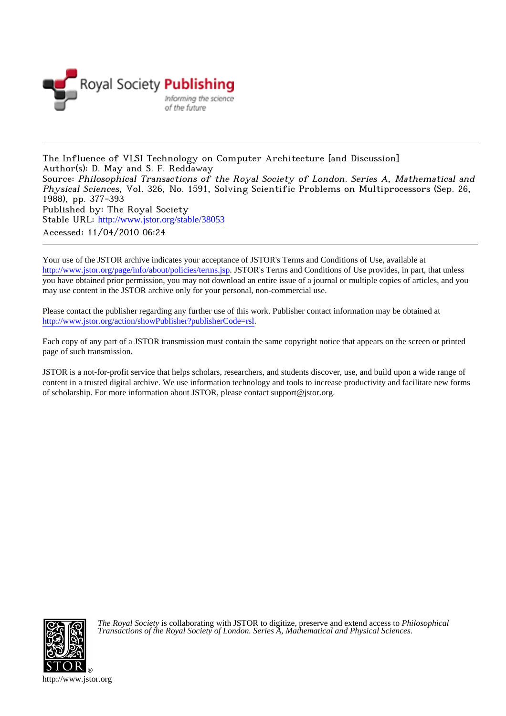

The Influence of VLSI Technology on Computer Architecture [and Discussion] Author(s): D. May and S. F. Reddaway Source: Philosophical Transactions of the Royal Society of London. Series A, Mathematical and Physical Sciences, Vol. 326, No. 1591, Solving Scientific Problems on Multiprocessors (Sep. 26, 1988), pp. 377-393 Published by: The Royal Society Stable URL: [http://www.jstor.org/stable/38053](http://www.jstor.org/stable/38053?origin=JSTOR-pdf) Accessed: 11/04/2010 06:24

Your use of the JSTOR archive indicates your acceptance of JSTOR's Terms and Conditions of Use, available at <http://www.jstor.org/page/info/about/policies/terms.jsp>. JSTOR's Terms and Conditions of Use provides, in part, that unless you have obtained prior permission, you may not download an entire issue of a journal or multiple copies of articles, and you may use content in the JSTOR archive only for your personal, non-commercial use.

Please contact the publisher regarding any further use of this work. Publisher contact information may be obtained at [http://www.jstor.org/action/showPublisher?publisherCode=rsl.](http://www.jstor.org/action/showPublisher?publisherCode=rsl)

Each copy of any part of a JSTOR transmission must contain the same copyright notice that appears on the screen or printed page of such transmission.

JSTOR is a not-for-profit service that helps scholars, researchers, and students discover, use, and build upon a wide range of content in a trusted digital archive. We use information technology and tools to increase productivity and facilitate new forms of scholarship. For more information about JSTOR, please contact support@jstor.org.



*The Royal Society* is collaborating with JSTOR to digitize, preserve and extend access to *Philosophical Transactions of the Royal Society of London. Series A, Mathematical and Physical Sciences.*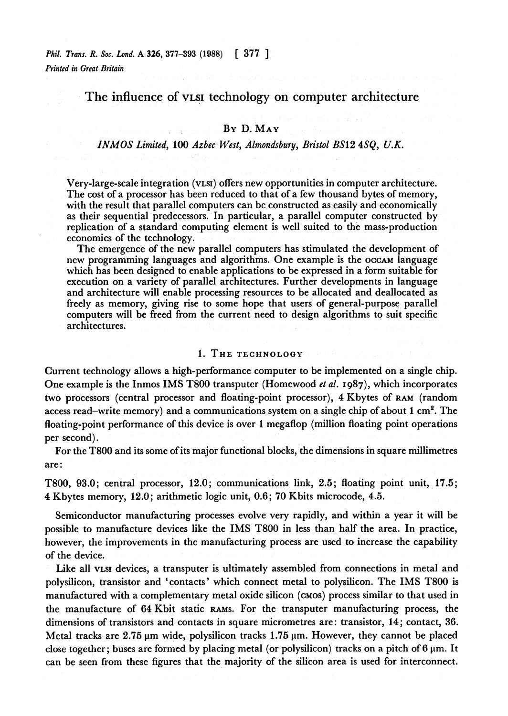# **The influence of VLSI technology on computer architecture**

### **BY D. MAY**

## **INMOS Limited, 100 Azbec West, Almondsbury, Bristol BS12 4SQ, U.K.**

**Very-large-scale integration (VLSI) offers new opportunities in computer architecture. The cost of a processor has been reduced to that of a few thousand bytes of memory, with the result that parallel computers can be constructed as easily and economically as their sequential predecessors. In particular, a parallel computer constructed by replication of a standard computing element is well suited to the mass-production economics of the technology.** 

**The emergence of the new parallel computers has stimulated the development of new programming languages and algorithms. One example is the OCCAM language which has been designed to enable applications to be expressed in a form suitable for execution on a variety of parallel architectures. Further developments in language and architecture will enable processing resources to be allocated and deallocated as freely as memory, giving rise to some hope that users of general-purpose parallel computers will be freed from the current need to design algorithms to suit specific architectures.** 

### **1. THE TECHNOLOGY**

**Current technology allows a high-performance computer to be implemented on a single chip. One example is the Inmos IMS T800 transputer (Homewood et al. I987), which incorporates two processors (central processor and floating-point processor), 4 Kbytes of RAM (random access read-write memory) and a communications system on a single chip of about I cm2. The floating-point performance of this device is over 1 megaflop (million floating point operations per second).** 

**For the T800 and its some of its major functional blocks, the dimensions in square millimetres are:** 

**T800, 93.0; central processor, 12.0; communications link, 2.5; floating point unit, 17.5; 4 Kbytes memory, 12.0; arithmetic logic unit, 0.6; 70 Kbits microcode, 4.5.** 

**Semiconductor manufacturing processes evolve very rapidly, and within a year it will be possible to manufacture devices like the IMS T800 in less than half the area. In practice, however, the improvements in the manufacturing process are used to increase the capability of the device.** 

**Like all VLSI devices, a transputer is ultimately assembled from connections in metal and polysilicon, transistor and 'contacts' which connect metal to polysilicon. The IMS T800 is manufactured with a complementary metal oxide silicon (CMos) process similar to that used in the manufacture of 64 Kbit static RAMS. For the transputer manufacturing process, the dimensions of transistors and contacts in square micrometres are: transistor, 14; contact, 36.**  Metal tracks are 2.75  $\mu$ m wide, polysilicon tracks 1.75  $\mu$ m. However, they cannot be placed close together; buses are formed by placing metal (or polysilicon) tracks on a pitch of  $6 \mu m$ . It **can be seen from these figures that the majority of the silicon area is used for interconnect.**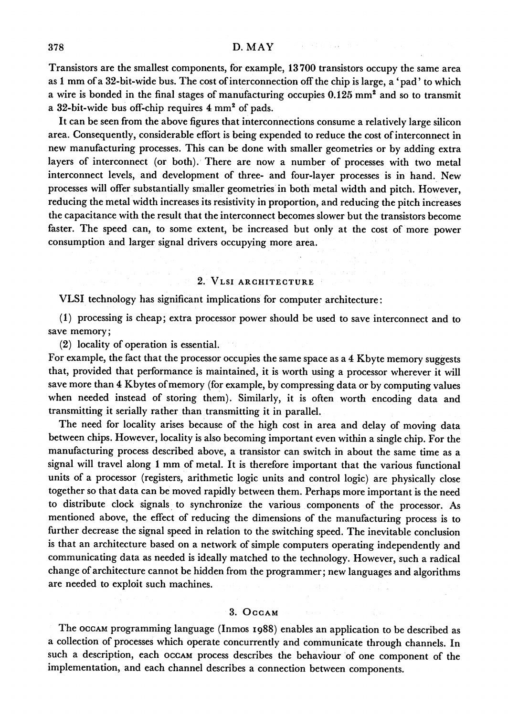**Transistors are the smallest components, for example, 13700 transistors occupy the same area as 1 mm of a 32-bit-wide bus. The cost of interconnection off the chip is large, a 'pad' to which a wire is bonded in the final stages of manufacturing occupies 0.125 mm2 and so to transmit a 32-bit-wide bus off-chip requires 4 mm2 of pads.** 

**It can be seen from the above figures that interconnections consume a relatively large silicon area. Consequently, considerable effort is being expended to reduce the cost of interconnect in new manufacturing processes. This can be done with smaller geometries or by adding extra layers of interconnect (or both). There are now a number of processes with two metal interconnect levels, and development of three- and four-layer processes is in hand. New processes will offer substantially smaller geometries in both metal width and pitch. However, reducing the metal width increases its resistivity in proportion, and reducing the pitch increases the capacitance with the result that the interconnect becomes slower but the transistors become faster. The speed can, to some extent, be increased but only at the cost of more power consumption and larger signal drivers occupying more area.** 

### **2. VLSI ARCHITECTURE**

**VLSI technology has significant implications for computer architecture:** 

**(1) processing is cheap; extra processor power should be used to save interconnect and to save memory;** 

**(2) locality of operation is essential.** 

**For example, the fact that the processor occupies the same space as a 4 Kbyte memory suggests that, provided that performance is maintained, it is worth using a processor wherever it will save more than 4 Kbytes of memory (for example, by compressing data or by computing values when needed instead of storing them). Similarly, it is often worth encoding data and transmitting it serially rather than transmitting it in parallel.** 

**The need for locality arises because of the high cost in area and delay of moving data between chips. However, locality is also becoming important even within a single chip. For the manufacturing process described above, a transistor can switch in about the same time as a signal will travel along I mm of metal. It is therefore important that the various functional units of a processor (registers, arithmetic logic units and control logic) are physically close together so that data can be moved rapidly between them. Perhaps more important is the need to distribute clock signals to synchronize the various components of the processor. As mentioned above, the effect of reducing the dimensions of the manufacturing process is to further decrease the signal speed in relation to the switching speed. The inevitable conclusion is that an architecture based on a network of simple computers operating independently and communicating data as needed is ideally matched to the technology. However, such a radical change of architecture cannot be hidden from the programmer; new languages and algorithms are needed to exploit such machines.** 

### **3. OCCAM**

**The OCCAM programming language (Inmos I988) enables an application to be described as a collection of processes which operate concurrently and communicate through channels. In such a description, each OCCAM process describes the behaviour of one component of the implementation, and each channel describes a connection between components.**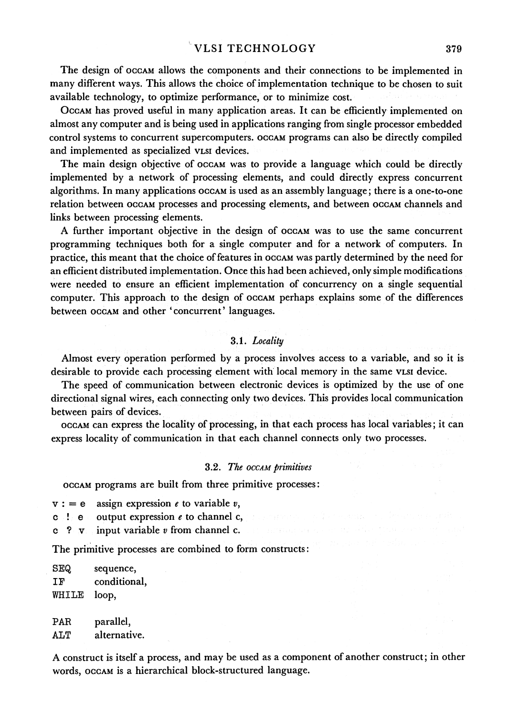**The design of OCCAM allows the components and their connections to be implemented in many different ways. This allows the choice of implementation technique to be chosen to suit available technology, to optimize performance, or to minimize cost.** 

**OCCAM has proved useful in many application areas. It can be efficiently implemented on almost any computer and is being used in applications ranging from single processor embedded control systems to concurrent supercomputers. OCCAM programs can also be directly compiled and implemented as specialized VLSI devices.** 

The main design objective of occam was to provide a language which could be directly **implemented by a network of processing elements, and could directly express concurrent algorithms. In many applications OCCAM is used as an assembly language; there is a one-to-one relation between OCCAM processes and processing elements, and between OCCAM channels and links between processing elements.** 

**A further important objective in the design of OCCAM was to use the same concurrent programming techniques both for a single computer and for a network of computers. In practice, this meant that the choice of features in OCCAM was partly determined by the need for an efficient distributed implementation. Once this had been achieved, only simple modifications were needed to ensure an efficient implementation of concurrency on a single sequential computer. This approach to the design of OCCAM perhaps explains some of the differences between OCCAM and other 'concurrent' languages.** 

### **3.1. Locality**

**Almost every operation performed by a process involves access to a variable, and so it is desirable to provide each processing element with local memory in the same VLSI device.** 

**The speed of communication between electronic devices is optimized by the use of one directional signal wires, each connecting only two devices. This provides local communication between pairs of devices.** 

**OCCAM can express the locality of processing, in that each process has local variables; it can express locality of communication in that each channel connects only two processes.** 

## **3.2. The OCCAM primitives**

**OCCAM programs are built from three primitive processes:** 

- $v := e$  assign expression  $e$  to variable  $v$ ,<br>c  $\cdot$  **e** output expression  $e$  to channel c
- output expression  $e$  to channel  $c$ ,
- **c ? v input variable v from channel c.**

**The primitive processes are combined to form constructs:** 

**SEQ sequence,**  conditional, **WHILE loop,** 

**PAR parallel, ALT alternative.** 

**A construct is itself a process, and may be used as a component of another construct; in other words, OCCAM is a hierarchical block-structured language.**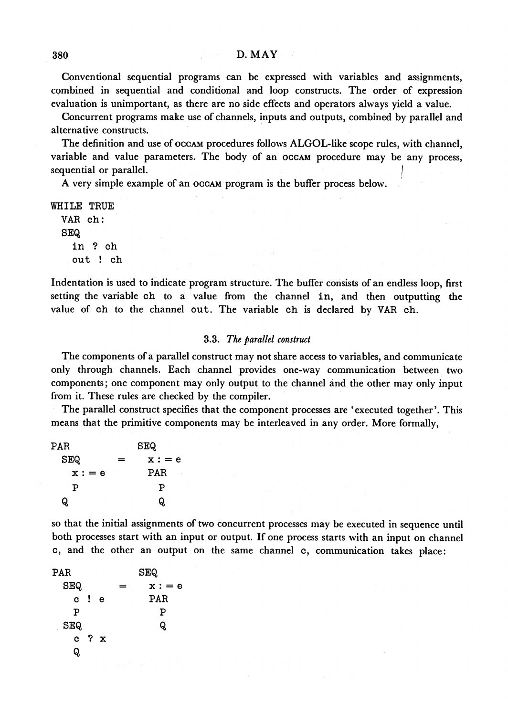**Conventional sequential programs can be expressed with variables and assignments, combined in sequential and conditional and loop constructs. The order of expression evaluation is unimportant, as there are no side effects and operators always yield a value.** 

**Concurrent programs make use of channels, inputs and outputs, combined by parallel and alternative constructs.** 

**The definition and use of OCCAM procedures follows ALGOL-like scope rules, with channel, variable and value parameters. The body of an OCCAM procedure may be any process, sequential or parallel. sequential or parallel.** *a l* **<b>***l l* **<b>***l l l l l l* **<b>***l l* 

**A very simple example of an OCCAM program is the buffer process below.** 

**WHILE TRUE VAR ch: SEQ in ? ch out ! ch** 

**Indentation is used to indicate program structure. The buffer consists of an endless loop, first setting the variable ch to a value from the channel in, and then outputting the value of ch to the channel out. The variable ch is declared by VAR oh.** 

#### **3.3. The parallel construct**

**The components of a parallel construct may not share access to variables, and communicate only through channels. Each channel provides one-way communication between two components; one component may only output to the channel and the other may only input from it. These rules are checked by the compiler.** 

**The parallel construct specifies that the component processes are 'executed together'. This means that the primitive components may be interleaved in any order. More formally,** 

| PAR      | <b>SEQ</b><br>٠ |          |  |
|----------|-----------------|----------|--|
| SEQ.     | =               | $x := e$ |  |
| $x := e$ |                 | PAR<br>٠ |  |
| P        |                 | P        |  |
| O.       |                 | O.       |  |

**so that the initial assignments of two concurrent processes may be executed in sequence until both processes start with an input or output. If one process starts with an input on channel c, and the other an output on the same channel c, communication takes place:** 

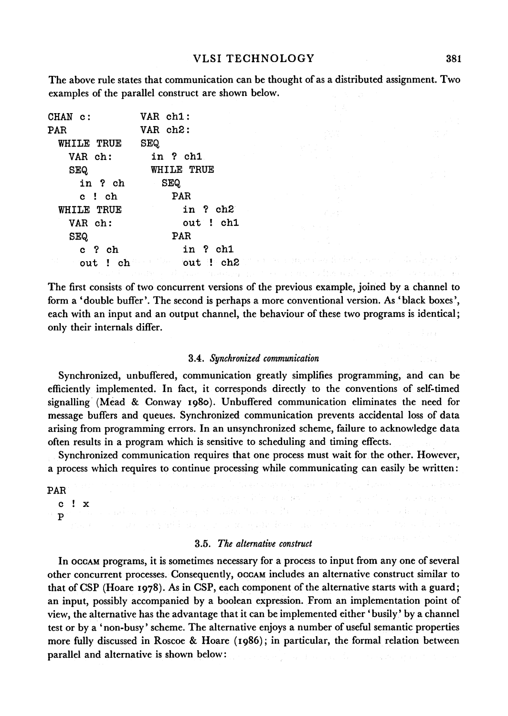**The above rule states that communication can be thought of as a distributed assignment. Two examples of the parallel construct are shown below.** 

| CHAN c:           | VAR ch1:              |
|-------------------|-----------------------|
| PAR               | VAR ch <sub>2</sub> : |
| WHILE TRUE        | SEQ.                  |
| VAR ch:           | in ? ch1              |
| <b>SEQ</b>        | <b>WHILE TRUE</b>     |
| in ? ch           | <b>SEQ</b>            |
| c!ch              | <b>PAR</b>            |
| <b>WHILE TRUE</b> | in ? ch2              |
| VAR ch:           | out ! ch1             |
| SEQ.              | PAR                   |
| c?ch              | in ? ch1              |
|                   | out ! ch out ! ch2    |
|                   |                       |

**The first consists of two concurrent versions of the previous example, joined by a channel to form a 'double buffer'. The second is perhaps a more conventional version. As 'black boxes', each with an input and an output channel, the behaviour of these two programs is identical; only their internals differ.** 

### **3.4. Synchronized communication**

**Synchronized, unbuffered, communication greatly simplifies programming, and can be efficiently implemented. In fact, it corresponds directly to the conventions of self-timed signalling (Mead & Conway I980). Unbuffered communication eliminates the need for message buffers and queues. Synchronized communication prevents accidental loss of data arising from programming errors. In an unsynchronized scheme, failure to acknowledge data often results in a program which is sensitive to scheduling and timing effects.** 

**Synchronized communication requires that one process must wait for the other. However, a process which requires to continue processing while communicating can easily be written:** 

a kang disebut at the state and the problem

a na mara mid na sa masa na katika maca ya masa wa masa ka

**PAR** 

**c !x p** 

#### **3.5. The alternative construct**

and the set of the second collection of the company of the

**In OCCAM programs, it is sometimes necessary for a process to input from any one of several other concurrent processes. Consequently, OCCAM includes an alternative construct similar to that of CSP (Hoare 1978). As in CSP, each component of the alternative starts with a guard; an input, possibly accompanied by a boolean expression. From an implementation point of view, the alternative has the advantage that it can be implemented either 'busily' by a channel test or by a 'non-busy' scheme. The alternative enjoys a number of useful semantic properties more fully discussed in Roscoe & Hoare (I986); in particular, the formal relation between parallel and alternative is shown below:**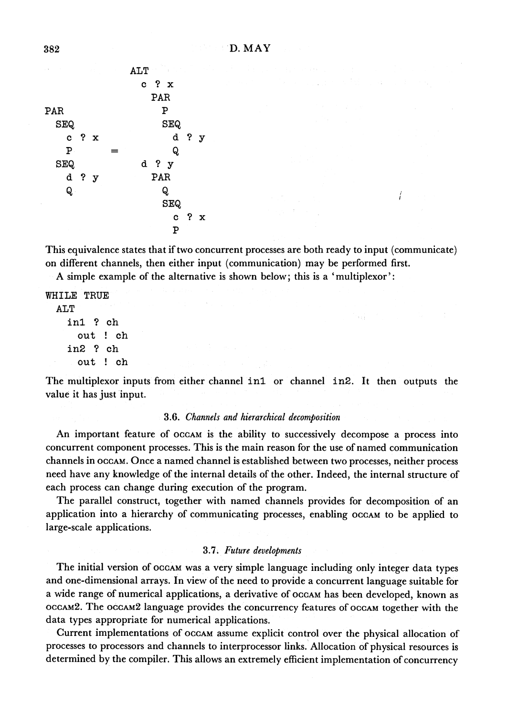| i, s<br>$\sim$ |           | 91. | ALT<br>$\mathcal{L} = \{1,2,3,4\}$<br>The Corporation<br>$\cdot$ |  |
|----------------|-----------|-----|------------------------------------------------------------------|--|
|                |           |     | $c$ ? $x$                                                        |  |
|                |           |     | PAR                                                              |  |
| PAR            |           |     | P                                                                |  |
| <b>SEQ</b>     |           |     | <b>SEQ</b>                                                       |  |
|                | $c$ ? $x$ |     | $d$ ? $y$                                                        |  |
| ${\bf P}$      |           |     | Q                                                                |  |
| <b>SEQ</b>     |           |     | d ? y                                                            |  |
|                | d ? y     |     | PAR                                                              |  |
| Q              |           |     | Q                                                                |  |
|                |           |     | <b>SEQ</b>                                                       |  |
|                |           |     | $c$ ? $x$                                                        |  |
| <b>Allen</b>   | $\sim$    |     | P                                                                |  |
|                |           |     |                                                                  |  |

**This equivalence states that if two concurrent processes are both ready to input (communicate) on different channels, then either input (communication) may be performed first.** 

 $\sqrt{ }$ 

na S

**A simple example of the alternative is shown below; this is a 'multiplexor':** 

**WHILE TRUE ALT inl ? ch out ! ch in2 ? ch out ! ch** 

The multiplexor inputs from either channel in1 or channel in2. It then outputs the **value it has just input.** 

## **3.6. Channels and hierarchical decomposition**

**An important feature of OCCAM is the ability to successively decompose a process into concurrent component processes. This is the main reason for the use of named communication channels in OCCAM. Once a named channel is established between two processes, neither process need have any knowledge of the internal details of the other. Indeed, the internal structure of each process can change during execution of the program.** 

**The parallel construct, together with named channels provides for decomposition of an**  application into a hierarchy of communicating processes, enabling  $occAM$  to be applied to **large-scale applications.** 

### **3.7. Future developments**

**The initial version of OCCAM was a very simple language including only integer data types and one-dimensional arrays. In view of the need to provide a concurrent language suitable for a wide range of numerical applications, a derivative of OCCAM has been developed, known as OCCAM2. The OCCAM2 language provides the concurrency features of OCCAM together with the data types appropriate for numerical applications.** 

**Current implementations of OCCAM assume explicit control over the physical allocation of processes to processors and channels to interprocessor links. Allocation of physical resources is determined by the compiler. This allows an extremely efficient implementation of concurrency**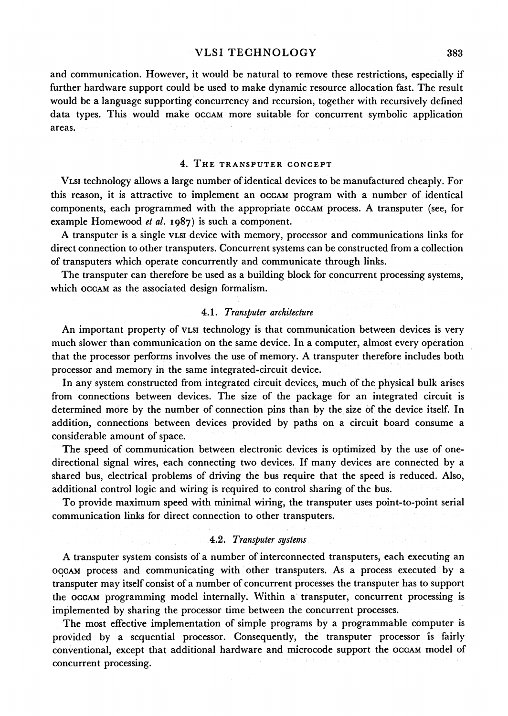**and communication. However, it would be natural to remove these restrictions, especially if further hardware support could be used to make dynamic resource allocation fast. The result would be a language supporting concurrency and recursion, together with recursively defined data types. This would make OCCAM more suitable for concurrent symbolic application areas.** 

### **4. THE TRANSPUTER CONCEPT**

**VLSI technology allows a large number of identical devices to be manufactured cheaply. For this reason, it is attractive to implement an OCCAM program with a number of identical components, each programmed with the appropriate OCCAM process. A transputer (see, for example Homewood et al. I987) is such a component.** 

**A transputer is a single VLSI device with memory, processor and communications links for direct connection to other transputers. Concurrent systems can be constructed from a collection of transputers which operate concurrently and communicate through links.** 

**The transputer can therefore be used as a building block for concurrent processing systems,**  which **OCCAM** as the associated design formalism.

#### **4.1. Transputer architecture**

**An important property of VLSI technology is that communication between devices is very much slower than communication on the same device. In a computer, almost every operation that the processor performs involves the use of memory. A transputer therefore includes both processor and memory in the same integrated-circuit device.** 

**In any system constructed from integrated circuit devices, much of the physical bulk arises from connections between devices. The size of the package for an integrated circuit is determined more by the number of connection pins than by the size of the device itself. In addition, connections between devices provided by paths on a circuit board consume a considerable amount of space.** 

**The speed of communication between electronic devices is optimized by the use of onedirectional signal wires, each connecting two devices. If many devices are connected by a shared bus, electrical problems of driving the bus require that the speed is reduced. Also, additional control logic and wiring is required to control sharing of the bus.** 

**To provide maximum speed with minimal wiring, the transputer uses point-to-point serial communication links for direct connection to other transputers.** 

#### **4.2. Transputer systems**

**A transputer system consists of a number of interconnected transputers, each executing an OCCAM process and communicating with other transputers. As a process executed by a transputer may itself consist of a number of concurrent processes the transputer has to support the OCCAM programming model internally. Within a transputer, concurrent processing is implemented by sharing the processor time between the concurrent processes.** 

**The most effective implementation of simple programs by a programmable computer is provided by a sequential processor. Consequently, the transputer processor is fairly conventional, except that additional hardware and microcode support the OCCAM model of concurrent processing.**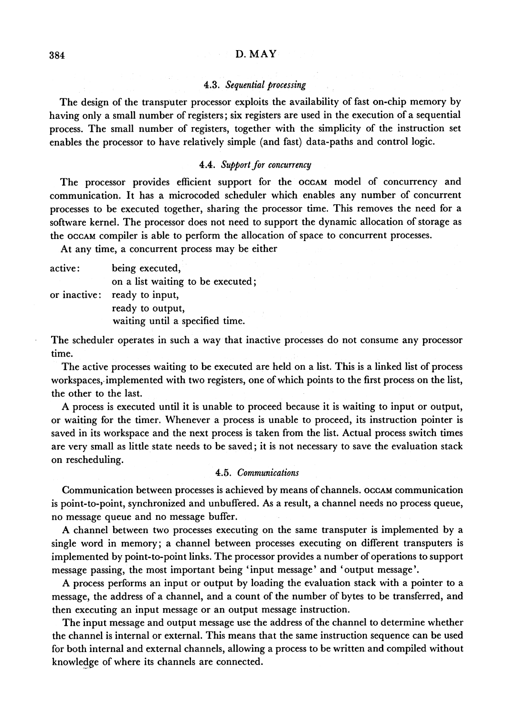## **4.3. Sequential processing**

**The design of the transputer processor exploits the availability of fast on-chip memory by having only a small number of registers; six registers are used in the execution of a sequential process. The small number of registers, together with the simplicity of the instruction set enables the processor to have relatively simple (and fast) data-paths and control logic.** 

#### **4.4. Support for concurrency**

**The processor provides efficient support for the OCCAM model of concurrency and communication. It has a microcoded scheduler which enables any number of concurrent processes to be executed together, sharing the processor time. This removes the need for a software kernel. The processor does not need to support the dynamic allocation of storage as the OCCAM compiler is able to perform the allocation of space to concurrent processes.** 

**At any time, a concurrent process may be either** 

| active :     | being executed,                   |
|--------------|-----------------------------------|
|              | on a list waiting to be executed; |
| or inactive: | ready to input,                   |
|              | ready to output,                  |
|              | waiting until a specified time.   |
|              |                                   |

**The scheduler operates in such a way that inactive processes do not consume any processor time.** 

**The active processes waiting to be executed are held on a list. This is a linked list of process workspaces, implemented with two registers, one of which points to the first process on the list, the other to the last.** 

**A process is executed until it is unable to proceed because it is waiting to input or output, or waiting for the timer. Whenever a process is unable to proceed, its instruction pointer is saved in its workspace and the next process is taken from the list. Actual process switch times are very small as little state needs to be saved; it is not necessary to save the evaluation stack on rescheduling.** 

#### **4.5. Communications**

**Communication between processes is achieved by means of channels. OCCAM communication is point-to-point, synchronized and unbuffered. As a result, a channel needs no process queue, no message queue and no message buffer.** 

**A channel between two processes executing on the same transputer is implemented by a single word in memory; a channel between processes executing on different transputers is implemented by point-to-point links. The processor provides a number of operations to support message passing, the most important being 'input message' and 'output message'.** 

**A process performs an input or output by loading the evaluation stack with a pointer to a message, the address of a channel, and a count of the number of bytes to be transferred, and then executing an input message or an output message instruction.** 

**The input message and output message use the address of the channel to determine whether the channel is internal or external. This means that the same instruction sequence can be used for both internal and external channels, allowing a process to be written and compiled without knowledge of where its channels are connected.**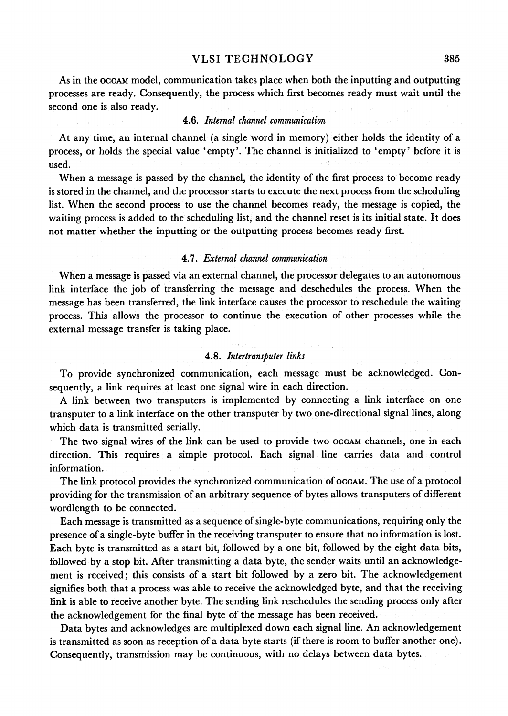**As in the OCCAM model, communication takes place when both the inputting and outputting processes are ready. Consequently, the process which first becomes ready must wait until the second one is also ready.** 

## **4.6. Internal channel communication**

**At any time, an internal channel (a single word in memory) either holds the identity of a process, or holds the special value 'empty'. The channel is initialized to 'empty' before it is used.** 

**When a message is passed by the channel, the identity of the first process to become ready is stored in the channel, and the processor starts to execute the next process from the scheduling list. When the second process to use the channel becomes ready, the message is copied, the waiting process is added to the scheduling list, and the channel reset is its initial state. It does not matter whether the inputting or the outputting process becomes ready first.** 

#### **4.7. External channel communication**

**When a message is passed via an external channel, the processor delegates to an autonomous**  link interface the job of transferring the message and deschedules the process. When the **message has been transferred, the link interface causes the processor to reschedule the waiting process. This allows the processor to continue the execution of other processes while the external message transfer is taking place.** 

#### **4.8. Intertransputer links**

**To provide synchronized communication, each message must be acknowledged. Consequently, a link requires at least one signal wire in each direction.** 

**A link between two transputers is implemented by connecting a link interface on one transputer to a link interface on the other transputer by two one-directional signal lines, along which data is transmitted serially.** 

The two signal wires of the link can be used to provide two  $occAM$  channels, one in each **direction. This requires a simple protocol. Each signal line carries data and control information.** 

The link protocol provides the synchronized communication of  $\text{occ}_A$ . The use of a protocol **providing for the transmission of an arbitrary sequence of bytes allows transputers of different wordlength to be connected.** 

**Each message is transmitted as a sequence of single-byte communications, requiring only the presence of a single-byte buffer in the receiving transputer to ensure that no information is lost. Each byte is transmitted as a start bit, followed by a one bit, followed by the eight data bits, followed by a stop bit. After transmitting a data byte, the sender waits until an acknowledgement is received; this consists of a start bit followed by a zero bit. The acknowledgement signifies both that a process was able to receive the acknowledged byte, and that the receiving link is able to receive another byte. The sending link reschedules the sending process only after the acknowledgement for the final byte of the message has been received.** 

**Data bytes and acknowledges are multiplexed down each signal line. An acknowledgement is transmitted as soon as reception of a data byte starts (if there is room to buffer another one). Consequently, transmission may be continuous, with no delays between data bytes.**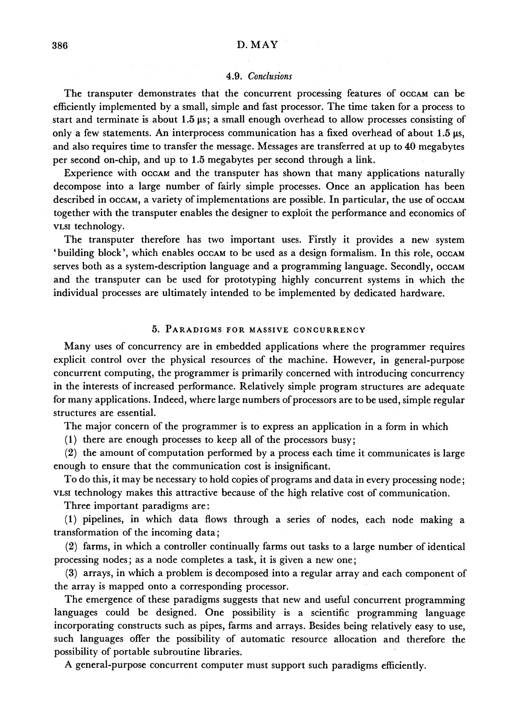### **4.9. Conclusions**

**The transputer demonstrates that the concurrent processing features of OCCAM can be efficiently implemented by a small, simple and fast processor. The time taken for a process to start and terminate is about 1.5 ps; a small enough overhead to allow processes consisting of only a few statements. An interprocess communication has a fixed overhead of about 1.5 gs, and also requires time to transfer the message. Messages are transferred at up to 40 megabytes per second on-chip, and up to 1.5 megabytes per second through a link.** 

**Experience with OCCAM and the transputer has shown that many applications naturally decompose into a large number of fairly simple processes. Once an application has been described in OCCAM, a variety of implementations are possible. In particular, the use of OCCAM together with the transputer enables the designer to exploit the performance and economics of VLSI technology.** 

**The transputer therefore has two important uses. Firstly it provides a new system**  'building block', which enables **OCCAM** to be used as a design formalism. In this role, OCCAM serves both as a system-description language and a programming language. Secondly,  $occAM$ **and the transputer can be used for prototyping highly concurrent systems in which the individual processes are ultimately intended to be implemented by dedicated hardware.** 

### **5. PARADIGMS FOR MASSIVE CONCURRENCY**

**Many uses of concurrency are in embedded applications where the programmer requires explicit control over the physical resources of the machine. However, in general-purpose concurrent computing, the programmer is primarily concerned with introducing concurrency in the interests of increased performance. Relatively simple program structures are adequate for many applications. Indeed, where large numbers of processors are to be used, simple regular structures are essential.** 

**The major concern of the programmer is to express an application in a form in which** 

**(1) there are enough processes to keep all of the processors busy;** 

**(2) the amount of computation performed by a process each time it communicates is large enough to ensure that the communication cost is insignificant.** 

**To do this, it may be necessary to hold copies of programs and data in every processing node; VLSI technology makes this attractive because of the high relative cost of communication.** 

**Three important paradigms are:** 

**(1) pipelines, in which data flows through a series of nodes, each node making a transformation of the incoming data;** 

**(2) farms, in which a controller continually farms out tasks to a large number of identical processing nodes; as a node completes a task, it is given a new one;** 

**(3) arrays, in which a problem is decomposed into a regular array and each component of the array is mapped onto a corresponding processor.** 

**The emergence of these paradigms suggests that new and useful concurrent programming languages could be designed. One possibility is a scientific programming language incorporating constructs such as pipes, farms and arrays. Besides being relatively easy to use, such languages offer the possibility of automatic resource allocation and therefore the possibility of portable subroutine libraries.** 

**A general-purpose concurrent computer must support such paradigms efficiently.**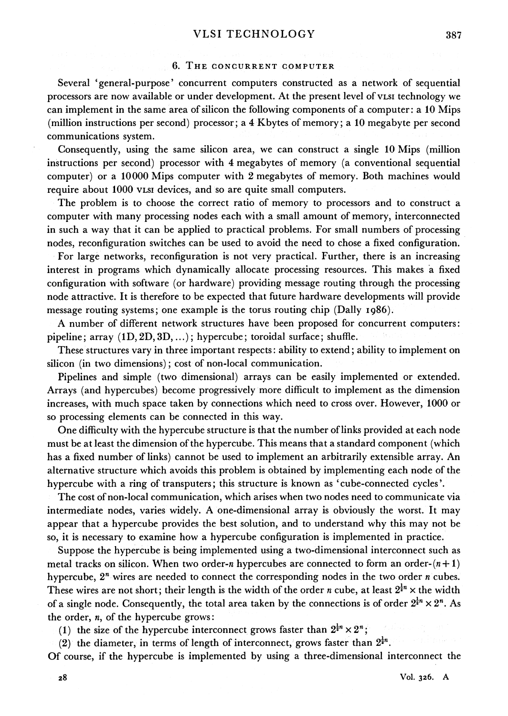### **6. THE CONCURRENT COMPUTER**

**Several 'general-purpose' concurrent computers constructed as a network of sequential processors are now available or under development. At the present level of VLSI technology we can implement in the same area of silicon the following components of a computer: a 10 Mips (million instructions per second) processor; a 4 Kbytes of memory; a 10 megabyte per second communications system.** 

**Consequently, using the same silicon area, we can construct a single 10 Mips (million instructions per second) processor with 4 megabytes of memory (a conventional sequential computer) or a 10000 Mips computer with 2 megabytes of memory. Both machines would require about 1000 VLSI devices, and so are quite small computers.** 

**The problem is to choose the correct ratio of memory to processors and to construct a computer with many processing nodes each with a small amount of memory, interconnected in such a way that it can be applied to practical problems. For small numbers of processing nodes, reconfiguration switches can be used to avoid the need to chose a fixed configuration.** 

**For large networks, reconfiguration is not very practical. Further, there is an increasing interest in programs which dynamically allocate processing resources. This makes a fixed configuration with software (or hardware) providing message routing through the processing node attractive. It is therefore to be expected that future hardware developments will provide message routing systems; one example is the torus routing chip (Dally I986).** 

**A number of different network structures have been proposed for concurrent computers: pipeline; array (D, 2D, 3D,...); hypercube; toroidal surface; shuffle.** 

**These structures vary in three important respects: ability to extend; ability to implement on silicon (in two dimensions); cost of non-local communication.** 

**Pipelines and simple (two dimensional) arrays can be easily implemented or extended. Arrays (and hypercubes) become progressively more difficult to implement as the dimension increases, with much space taken by connections which need to cross over. However, 1000 or so processing elements can be connected in this way.** 

**One difficulty with the hypercube structure is that the number of links provided at each node must be at least the dimension of the hypercube. This means that a standard component (which has a fixed number of links) cannot be used to implement an arbitrarily extensible array. An alternative structure which avoids this problem is obtained by implementing each node of the hypercube with a ring of transputers; this structure is known as 'cube-connected cycles'.** 

**The cost of non-local communication, which arises when two nodes need to communicate via intermediate nodes, varies widely. A one-dimensional array is obviously the worst. It may appear that a hypercube provides the best solution, and to understand why this may not be so, it is necessary to examine how a hypercube configuration is implemented in practice.** 

**Suppose the hypercube is being implemented using a two-dimensional interconnect such as**  metal tracks on silicon. When two order-*n* hypercubes are connected to form an order- $(n+1)$ **hypercube, 2' wires are needed to connect the corresponding nodes in the two order n cubes.**  These wires are not short; their length is the width of the order *n* cube, at least  $2^{\frac{1}{2}n} \times$  the width of a single node. Consequently, the total area taken by the connections is of order  $2^{\frac{1}{2}n} \times 2^n$ . As **the order, n, of the hypercube grows:** 

(1) the size of the hypercube interconnect grows faster than  $2^{\frac{1}{2}n} \times 2^n$ :

(2) the diameter, in terms of length of interconnect, grows faster than  $2^{\frac{1}{2}n}$ .

**Of course, if the hypercube is implemented by using a three-dimensional interconnect the** 

**387**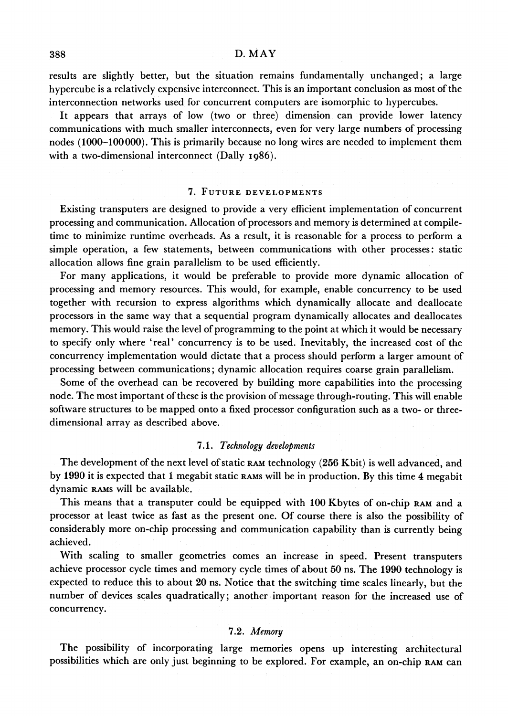**results are slightly better, but the situation remains fundamentally unchanged; a large hypercube is a relatively expensive interconnect. This is an important conclusion as most of the interconnection networks used for concurrent computers are isomorphic to hypercubes.** 

**It appears that arrays of low (two or three) dimension can provide lower latency communications with much smaller interconnects, even for very large numbers of processing nodes (1000-100000). This is primarily because no long wires are needed to implement them with a two-dimensional interconnect (Dally 1986).** 

## **7. FUTURE DEVELOPMENTS**

**Existing transputers are designed to provide a very efficient implementation of concurrent processing and communication. Allocation of processors and memory is determined at compiletime to minimize runtime overheads. As a result, it is reasonable for a process to perform a simple operation, a few statements, between communications with other processes: static allocation allows fine grain parallelism to be used efficiently.** 

**For many applications, it would be preferable to provide more dynamic allocation of processing and memory resources. This would, for example, enable concurrency to be used together with recursion to express algorithms which dynamically allocate and deallocate processors in the same way that a sequential program dynamically allocates and deallocates memory. This would raise the level of programming to the point at which it would be necessary to specify only where 'real' concurrency is to be used. Inevitably, the increased cost of the concurrency implementation would dictate that a process should perform a larger amount of processing between communications; dynamic allocation requires coarse grain parallelism.** 

**Some of the overhead can be recovered by building more capabilities into the processing node. The most important of these is the provision of message through-routing. This will enable software structures to be mapped onto a fixed processor configuration such as a two- or threedimensional array as described above.** 

## **7.1. Technology developments**

**The development of the next level of static RAM technology (256 Kbit) is well advanced, and by 1990 it is expected that 1 megabit static RAMS will be in production. By this time 4 megabit dynamic RAMS will be available.** 

**This means that a transputer could be equipped with 100 Kbytes of on-chip RAM and a processor at least twice as fast as the present one. Of course there is also the possibility of considerably more on-chip processing and communication capability than is currently being achieved.** 

**With scaling to smaller geometries comes an increase in speed. Present transputers achieve processor cycle times and memory cycle times of about 50 ns. The 1990 technology is expected to reduce this to about 20 ns. Notice that the switching time scales linearly, but the number of devices scales quadratically; another important reason for the increased use of concurrency.** 

## **7.2. Memory**

**The possibility of incorporating large memories opens up interesting architectural possibilities which are only just beginning to be explored. For example, an on-chip RAM can**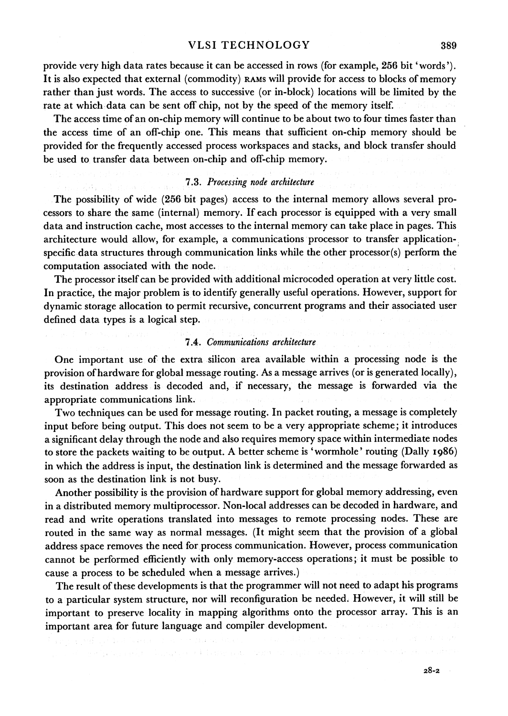**provide very high data rates because it can be accessed in rows (for example, 256 bit 'words'). It is also expected that external (commodity) RAMS Will provide for access to blocks of memory rather than just words. The access to successive (or in-block) locations will be limited by the rate at which data can be sent off chip, not by the speed of the memory itself.** 

**The access time of an on-chip memory will continue to be about two to four times faster than the access time of an off-chip one. This means that sufficient on-chip memory should be provided for the frequently accessed process workspaces and stacks, and block transfer should be used to transfer data between on-chip and off-chip memory.** 

## **7.3. Processing node architecture**

**The possibility of wide (256 bit pages) access to the internal memory allows several processors to share the same (internal) memory. If each processor is equipped with a very small data and instruction cache, most accesses to the internal memory can take place in pages. This architecture would allow, for example, a communications processor to transfer applicationspecific data structures through communication links while the other processor(s) perform the computation associated with the node.** 

**The processor itself can be provided with additional microcoded operation at very little cost. In practice, the major problem is to identify generally useful operations. However, support for dynamic storage allocation to permit recursive, concurrent programs and their associated user defined data types is a logical step.** 

#### **7.4. Communications architecture**

**One important use of the extra silicon area available within a processing node is the provision of hardware for global message routing. As a message arrives (or is generated locally), its destination address is decoded and, if necessary, the message is forwarded via the appropriate communications link.** 

**Two techniques can be used for message routing. In packet routing, a message is completely input before being output. This does not seem to be a very appropriate scheme; it introduces a significant delay through the node and also requires memory space within intermediate nodes to store the packets waiting to be output. A better scheme is 'wormhole' routing (Dally 1986) in which the address is input, the destination link is determined and the message forwarded as soon as the destination link is not busy.** 

**Another possibility is the provision of hardware support for global memory addressing, even in a distributed memory multiprocessor. Non-local addresses can be decoded in hardware, and read and write operations translated into messages to remote processing nodes. These are routed in the same way as normal messages. (It might seem that the provision of a global address space removes the need for process communication. However, process communication cannot be performed efficiently with only memory-access operations; it must be possible to cause a process to be scheduled when a message arrives.)** 

**The result of these developments is that the programmer will not need to adapt his programs to a particular system structure, nor will reconfiguration be needed. However, it will still be important to preserve locality in mapping algorithms onto the processor array. This is an important area for future language and compiler development.**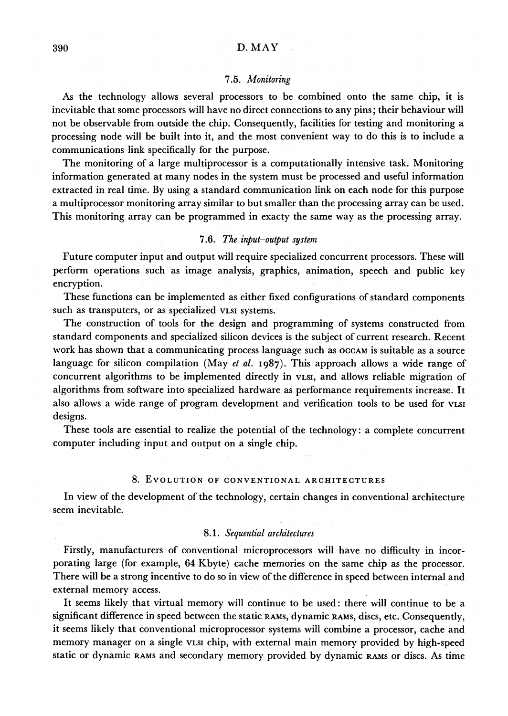#### **7.5. Monitoring**

**As the technology allows several processors to be combined onto the same chip, it is inevitable that some processors will have no direct connections to any pins; their behaviour will not be observable from outside the chip. Consequently, facilities for testing and monitoring a processing node will be built into it, and the most convenient way to do this is to include a communications link specifically for the purpose.** 

**The monitoring of a large multiprocessor is a computationally intensive task. Monitoring information generated at many nodes in the system must be processed and useful information extracted in real time. By using a standard communication link on each node for this purpose a multiprocessor monitoring array similar to but smaller than the processing array can be used. This monitoring array can be programmed in exacty the same way as the processing array.** 

### **7.6. The input-output system**

**Future computer input and output will require specialized concurrent processors. These will perform operations such as image analysis, graphics, animation, speech and public key encryption.** 

**These functions can be implemented as either fixed configurations of standard components such as transputers, or as specialized VLSI systems.** 

**The construction of tools for the design and programming of systems constructed from standard components and specialized silicon devices is the subject of current research. Recent**  work has shown that a communicating process language such as occam is suitable as a source **language for silicon compilation (May et al. I987). This approach allows a wide range of concurrent algorithms to be implemented directly in VLSI, and allows reliable migration of algorithms from software into specialized hardware as performance requirements increase. It also allows a wide range of program development and verification tools to be used for VLSI designs.** 

**These tools are essential to realize the potential of the technology: a complete concurrent computer including input and output on a single chip.** 

## **8. EVOLUTION OF CONVENTIONAL ARCHITECTURES**

**In view of the development of the technology, certain changes in conventional architecture seem inevitable.** 

#### **8.1. Sequential architectures**

**Firstly, manufacturers of conventional microprocessors will have no difficulty in incorporating large (for example, 64 Kbyte) cache memories on the same chip as the processor. There will be a strong incentive to do so in view of the difference in speed between internal and external memory access.** 

**It seems likely that virtual memory will continue to be used: there will continue to be a significant difference in speed between the static RAMS, dynamic RAMS, discs, etc. Consequently, it seems likely that conventional microprocessor systems will combine a processor, cache and memory manager on a single VLSI chip, with external main memory provided by high-speed static or dynamic RAMS and secondary memory provided by dynamic RAMS or discs. As time**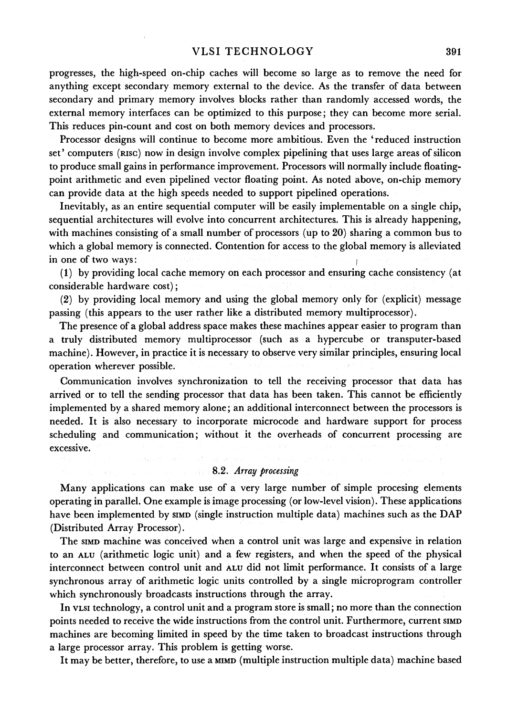**progresses, the high-speed on-chip caches will become so large as to remove the need for anything except secondary memory external to the device. As the transfer of data between secondary and primary memory involves blocks rather than randomly accessed words, the external memory interfaces can be optimized to this purpose; they can become more serial. This reduces pin-count and cost on both memory devices and processors.** 

**Processor designs will continue to become more ambitious. Even the 'reduced instruction set' computers (RISC) now in design involve complex pipelining that uses large areas of silicon to produce small gains in performance improvement. Processors will normally include floatingpoint arithmetic and even pipelined vector floating point. As noted above, on-chip memory can provide data at the high speeds needed to support pipelined operations.** 

**Inevitably, as an entire sequential computer will be easily implementable on a single chip, sequential architectures will evolve into concurrent architectures. This is already happening, with machines consisting of a small number of processors (up to 20) sharing a common bus to which a global memory is connected. Contention for access to the global memory is alleviated in one of two ways:** 

**(1) by providing local cache memory on each processor and ensuring cache consistency (at considerable hardware cost);** 

**(2) by providing local memory and using the global memory only for (explicit) message passing (this appears to the user rather like a distributed memory multiprocessor).** 

**The presence of a global address space makes these machines appear easier to program than a truly distributed memory multiprocessor (such as a hypercube or transputer-based machine). However, in practice it is necessary to observe very similar principles, ensuring local operation wherever possible.** 

**Communication involves synchronization to tell the receiving processor that data has arrived or to tell the sending processor that data has been taken. This cannot be efficiently implemented by a shared memory alone; an additional interconnect between the processors is needed. It is also necessary to incorporate microcode and hardware support for process scheduling and communication; without it the overheads of concurrent processing are excessive.**  Language Prop. De

## **8.2. Array processing**

**Many applications can make use of a very large number of simple procesing elements operating in parallel. One example is image processing (or low-level vision). These applications have been implemented by SIMD (single instruction multiple data) machines such as the DAP (Distributed Array Processor).** 

**The SIMD machine was conceived when a control unit was large and expensive in relation to an ALU (arithmetic logic unit) and a few registers, and when the speed of the physical interconnect between control unit and ALU did not limit performance. It consists of a large synchronous array of arithmetic logic units controlled by a single microprogram controller which synchronously broadcasts instructions through the array.** 

**In VLSI technology, a control unit and a program store is small; no more than the connection**  points needed to receive the wide instructions from the control unit. Furthermore, current sIMD **machines are becoming limited in speed by the time taken to broadcast instructions through a large processor array. This problem is getting worse.** 

It may be better, therefore, to use a **MIMD** (multiple instruction multiple data) machine based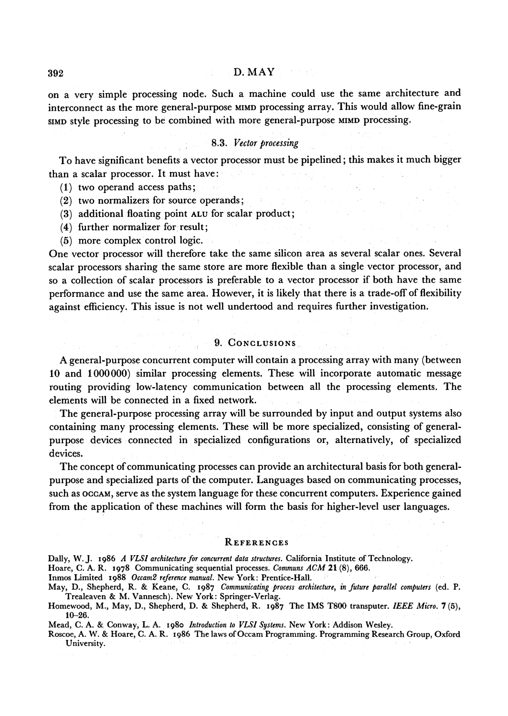**on a very simple processing node. Such a machine could use the same architecture and interconnect as the more general-purpose MIMD processing array. This would allow fine-grain SIMD style processing to be combined with more general-purpose MIMD processing.** 

#### **8.3. Vector processing**

**To have significant benefits a vector processor must be pipelined; this makes it much bigger than a scalar processor. It must have:** 

- **(1) two operand access paths;**
- **(2) two normalizers for source operands;**
- **(3) additional floating point ALU for scalar product;**
- **(4) further normalizer for result;**
- **(5) more complex control logic.**

**One vector processor will therefore take the same silicon area as several scalar ones. Several scalar processors sharing the same store are more flexible than a single vector processor, and so a collection of scalar processors is preferable to a vector processor if both have the same performance and use the same area. However, it is likely that there is a trade-off of flexibility against efficiency. This issue is not well undertood and requires further investigation.** 

### **9. CONCLUSIONS.**

**A general-purpose concurrent computer will contain aprocessing array with many (between 10 and 1000000) similar processing elements. These will incorporate automatic message routing providing low-latency communication between all the processing elements. The elements will be connected in a fixed network.** 

**The general-purpose processing array will be surrounded by input and output systems also containing many processing elements. These will be more specialized, consisting of generalpurpose devices connected in specialized configurations or, alternatively, of specialized devices.** 

**The concept of communicating processes can provide an architectural basis for both generalpurpose and specialized parts of the computer. Languages based on communicating processes, such as OCCAM, serve as the system language for these concurrent computers. Experience gained from the application of these machines will form the basis for higher-level user languages.** 

#### **REFERENCES**

**Hoare, C. A. R. 1978 Communicating sequential processes. Communs ACM 21 (8), 666.** 

**Inmos Limited i988 Occam2 reference manual. New York: Prentice-Hall.** 

**May, D., Shepherd, R. & Keane, C. 1987 Communicating process architecture, in future parallel computers (ed. P. Trealeaven & M. Vannesch). New York: Springer-Verlag.** 

**Roscoe, A. W. & Hoare, C. A. R. 1986 The laws of Occam Programming. Programming Research Group, Oxford University.** 

Dally, W. J. 1986 A VLSI architecture for concurrent data structures. California Institute of Technology.

**Homewood, M., May, D., Shepherd, D. & Shepherd, R. 1987 The IMS T800 transputer. IEEE Micro. 7(5), 10-26.** 

**Mead, C. A. & Conway, L. A. 1980 Introduction to VLSI Systems. New York: Addison Wesley.**